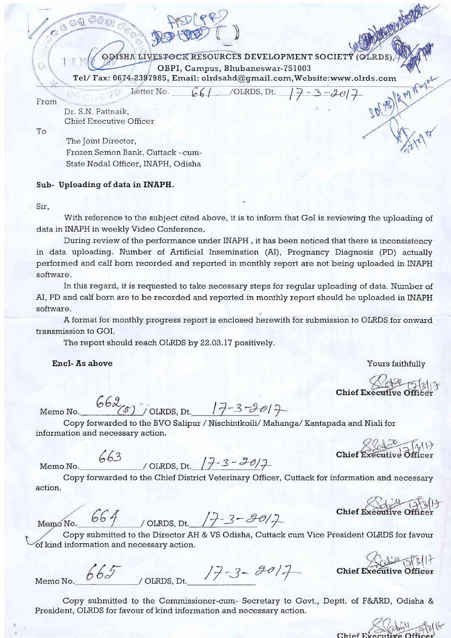ODISHA LIVESTOCK RESOURCES DEVELOPMENT SOCIETY (OLRDS  $\begin{array}{|l|} \hline \text{CBPI}, \text{Campus}, \text{Bhubaneswar-751003} \ \hline \text{Tel/ Fax: 0674-2397985}, \text{Email: olrdsahd@gmail.com}, \text{Website: } \text{www.olrds.com} \end{array}$  $661$  /OLRDS, Dt.  $77 - 3 - 2017$ 

u

From'

To

Dr. S.N. Pattnaik, Chief Executive Officer

The Joint Director, Ftozen Semen Bank, Cuttack -cum-State Nodal Officer. INAPH. Odisha

Letter No.

Sub- Uploading of data in INAPH.

Sir,

With reference to the subject cited above, it is to inform that GoI is reviewing the uploading of data in INAPH in weekly Video Conference.

During review of the performance under INAPH , it has been noticed that there is inconsistency in data uploading. Number of Artificial Insemination (AI), Pregnancy Diagnosis (PD) actually performed and calf born recorded and reported in monthly report are not being uploaded in INAPH software.

In this regard, it is requested to take necessary steps for regular uploading of data. Number of AI, PD and calf born are to be recorded and reported in monthly report should be uploaded in INAPH software.

A format for monthly progress report is enclosed herewith for submission to OLRDS for onward transmission to GOI.

The report should reach OLRDS by 22.O3.I7 positively.

Encl- As above

 $662.$ 

Chief Executive Office

**MEETING** 

3012

Yours faithfully

Memo No.  $\overline{(\mathcal{F})}$  / OLRDS, Dt.

Copy forwarded to the BVO Salipur / Nischintkoili/ Mahanga/ Kantapada and Niali for information and necessary action.

Memo No. 663 / OLRDS, Dt.  $(7 - 3 - 30)$ 

action. Copy forwarded to the Chief District Veterinary Officer, Cuttack for information and necessary

Chief Executive difficer

 $\frac{664}{100}$ /OLRDS, Dt.  $\frac{17-3-901}{7}$ 

Copy submitted to the Director AH & VS Odisha, Cuttack cum Vice President OLRDS for favour of kind information and necessary action.

Memo No.  $665$  / OLRDS, Dt. 17-3-2017

Chief Executive

Copy submitted to the Commissioner-cum- Secretary to Govt., Deptt. of F&ARD, Odisha & President, OLRDS for favour of kind information and necessary action.